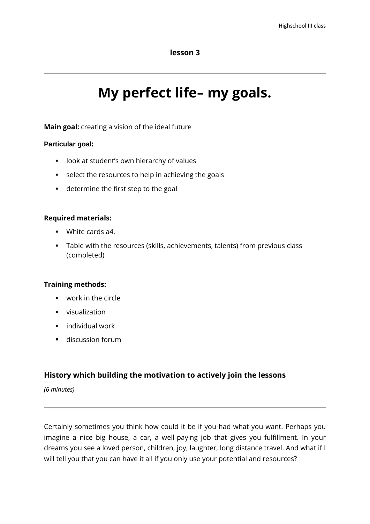## **lesson 3**

# **My perfect life– my goals.**

**Main goal:** creating a vision of the ideal future

#### **Particular goal:**

- **-** look at student's own hierarchy of values
- select the resources to help in achieving the goals
- **determine the first step to the goal**

#### **Required materials:**

- **White cards a4.**
- Table with the resources (skills, achievements, talents) from previous class (completed)

## **Training methods:**

- work in the circle
- **visualization**
- individual work
- **discussion forum**

## **History which building the motivation to actively join the lessons**

*(6 minutes)*

Certainly sometimes you think how could it be if you had what you want. Perhaps you imagine a nice big house, a car, a well-paying job that gives you fulfillment. In your dreams you see a loved person, children, joy, laughter, long distance travel. And what if I will tell you that you can have it all if you only use your potential and resources?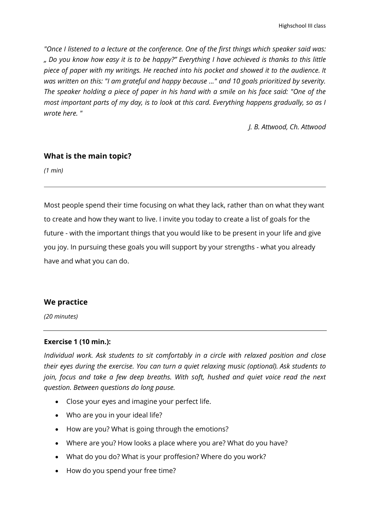*"Once I listened to a lecture at the conference. One of the first things which speaker said was: " Do you know how easy it is to be happy?" Everything I have achieved is thanks to this little piece of paper with my writings. He reached into his pocket and showed it to the audience. It was written on this: "I am grateful and happy because ..." and 10 goals prioritized by severity. The speaker holding a piece of paper in his hand with a smile on his face said: "One of the most important parts of my day, is to look at this card. Everything happens gradually, so as I wrote here. "*

 *J. B. Attwood, Ch. Attwood*

## **What is the main topic?**

*(1 min)*

Most people spend their time focusing on what they lack, rather than on what they want to create and how they want to live. I invite you today to create a list of goals for the future - with the important things that you would like to be present in your life and give you joy. In pursuing these goals you will support by your strengths - what you already have and what you can do.

## **We practice**

*(20 minutes)*

#### **Exercise 1 (10 min.):**

*Individual work. Ask students to sit comfortably in a circle with relaxed position and close their eyes during the exercise. You can turn a quiet relaxing music (optional). Ask students to join, focus and take a few deep breaths. With soft, hushed and quiet voice read the next question. Between questions do long pause.*

- Close your eyes and imagine your perfect life.
- Who are you in your ideal life?
- How are you? What is going through the emotions?
- Where are you? How looks a place where you are? What do you have?
- What do you do? What is your proffesion? Where do you work?
- How do you spend your free time?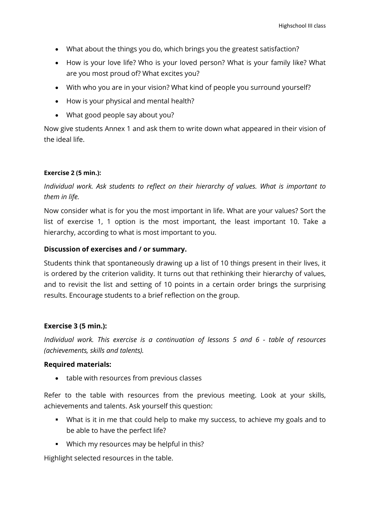- What about the things you do, which brings you the greatest satisfaction?
- How is your love life? Who is your loved person? What is your family like? What are you most proud of? What excites you?
- With who you are in your vision? What kind of people you surround yourself?
- How is your physical and mental health?
- What good people say about you?

Now give students Annex 1 and ask them to write down what appeared in their vision of the ideal life.

#### **Exercise 2 (5 min.):**

# *Individual work. Ask students to reflect on their hierarchy of values. What is important to them in life.*

Now consider what is for you the most important in life. What are your values? Sort the list of exercise 1, 1 option is the most important, the least important 10. Take a hierarchy, according to what is most important to you.

#### **Discussion of exercises and / or summary.**

Students think that spontaneously drawing up a list of 10 things present in their lives, it is ordered by the criterion validity. It turns out that rethinking their hierarchy of values, and to revisit the list and setting of 10 points in a certain order brings the surprising results. Encourage students to a brief reflection on the group.

#### **Exercise 3 (5 min.):**

*Individual work. This exercise is a continuation of lessons 5 and 6 - table of resources (achievements, skills and talents).*

#### **Required materials:**

• table with resources from previous classes

Refer to the table with resources from the previous meeting. Look at your skills, achievements and talents. Ask yourself this question:

- What is it in me that could help to make my success, to achieve my goals and to be able to have the perfect life?
- **Which my resources may be helpful in this?**

Highlight selected resources in the table.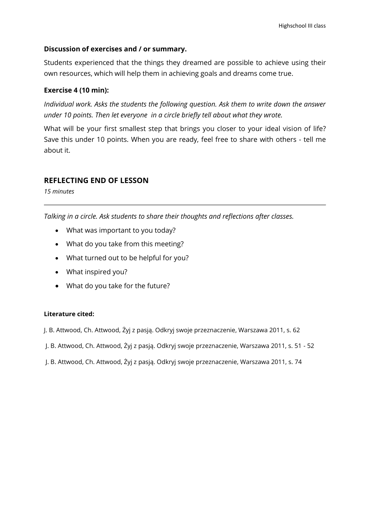## **Discussion of exercises and / or summary.**

Students experienced that the things they dreamed are possible to achieve using their own resources, which will help them in achieving goals and dreams come true.

## **Exercise 4 (10 min):**

*Individual work. Asks the students the following question. Ask them to write down the answer under 10 points. Then let everyone in a circle briefly tell about what they wrote.*

What will be your first smallest step that brings you closer to your ideal vision of life? Save this under 10 points. When you are ready, feel free to share with others - tell me about it.

## **REFLECTING END OF LESSON**

*15 minutes*

*Talking in a circle. Ask students to share their thoughts and reflections after classes.*

- What was important to you today?
- What do you take from this meeting?
- What turned out to be helpful for you?
- What inspired you?
- What do you take for the future?

#### **Literature cited:**

- J. B. Attwood, Ch. Attwood, Żyj z pasją. Odkryj swoje przeznaczenie, Warszawa 2011, s. 62
- J. B. Attwood, Ch. Attwood, Żyj z pasją. Odkryj swoje przeznaczenie, Warszawa 2011, s. 51 52
- J. B. Attwood, Ch. Attwood, Żyj z pasją. Odkryj swoje przeznaczenie, Warszawa 2011, s. 74